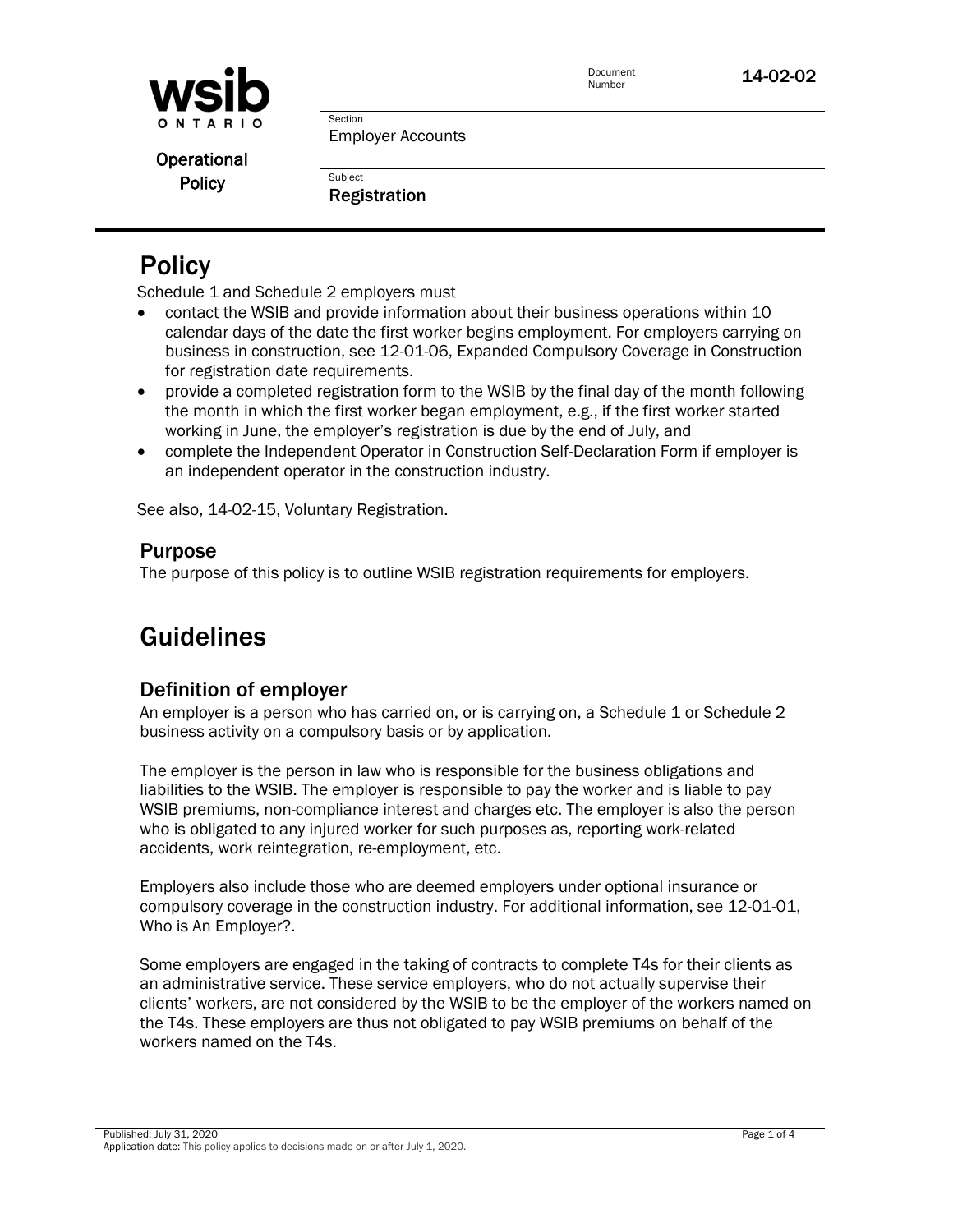

Document<br>Number

14-02-02

Operational **Policy** 

Employer Accounts

Registration

Section

**Subject** 

# **Policy**

Schedule 1 and Schedule 2 employers must

- contact the WSIB and provide information about their business operations within 10 calendar days of the date the first worker begins employment. For employers carrying on business in construction, see 12-01-06, Expanded Compulsory Coverage in Construction for registration date requirements.
- provide a completed registration form to the WSIB by the final day of the month following the month in which the first worker began employment, e.g., if the first worker started working in June, the employer's registration is due by the end of July, and
- complete the Independent Operator in Construction Self-Declaration Form if employer is an independent operator in the construction industry.

See also, 14-02-15, Voluntary Registration.

## Purpose

The purpose of this policy is to outline WSIB registration requirements for employers.

# Guidelines

## Definition of employer

An employer is a person who has carried on, or is carrying on, a Schedule 1 or Schedule 2 business activity on a compulsory basis or by application.

The employer is the person in law who is responsible for the business obligations and liabilities to the WSIB. The employer is responsible to pay the worker and is liable to pay WSIB premiums, non-compliance interest and charges etc. The employer is also the person who is obligated to any injured worker for such purposes as, reporting work-related accidents, work reintegration, re-employment, etc.

Employers also include those who are deemed employers under optional insurance or compulsory coverage in the construction industry. For additional information, see 12-01-01, Who is An Employer?.

Some employers are engaged in the taking of contracts to complete T4s for their clients as an administrative service. These service employers, who do not actually supervise their clients' workers, are not considered by the WSIB to be the employer of the workers named on the T4s. These employers are thus not obligated to pay WSIB premiums on behalf of the workers named on the T4s.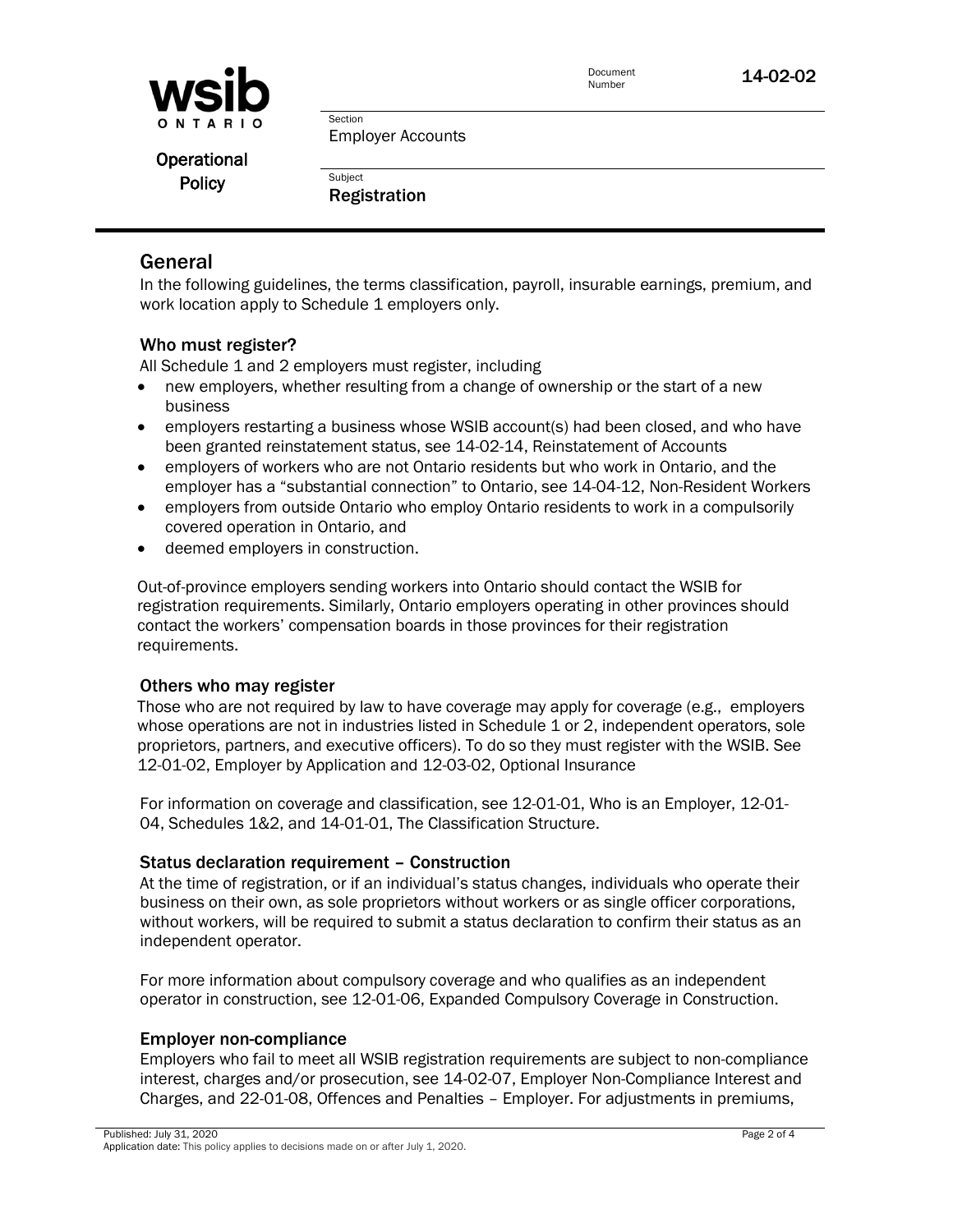

Document<br>Number

14-02-02

Section Employer Accounts

Operational **Policy** 

Registration

**Subject** 

## General

In the following guidelines, the terms classification, payroll, insurable earnings, premium, and work location apply to Schedule 1 employers only.

#### Who must register?

All Schedule 1 and 2 employers must register, including

- new employers, whether resulting from a change of ownership or the start of a new business
- employers restarting a business whose WSIB account(s) had been closed, and who have been granted reinstatement status, see 14-02-14, Reinstatement of Accounts
- employers of workers who are not Ontario residents but who work in Ontario, and the employer has a "substantial connection" to Ontario, see 14-04-12, Non-Resident Workers
- employers from outside Ontario who employ Ontario residents to work in a compulsorily covered operation in Ontario, and
- deemed employers in construction.

Out-of-province employers sending workers into Ontario should contact the WSIB for registration requirements. Similarly, Ontario employers operating in other provinces should contact the workers' compensation boards in those provinces for their registration requirements.

#### Others who may register

Those who are not required by law to have coverage may apply for coverage (e.g., employers whose operations are not in industries listed in Schedule 1 or 2, independent operators, sole proprietors, partners, and executive officers). To do so they must register with the WSIB. See 12-01-02, Employer by Application and 12-03-02, Optional Insurance

For information on coverage and classification, see 12-01-01, Who is an Employer, 12-01- 04, Schedules 1&2, and 14-01-01, The Classification Structure.

#### Status declaration requirement – Construction

At the time of registration, or if an individual's status changes, individuals who operate their business on their own, as sole proprietors without workers or as single officer corporations, without workers, will be required to submit a status declaration to confirm their status as an independent operator.

For more information about compulsory coverage and who qualifies as an independent operator in construction, see 12-01-06, Expanded Compulsory Coverage in Construction.

#### Employer non-compliance

Employers who fail to meet all WSIB registration requirements are subject to non-compliance interest, charges and/or prosecution, see 14-02-07, Employer Non-Compliance Interest and Charges, and 22-01-08, Offences and Penalties – Employer. For adjustments in premiums,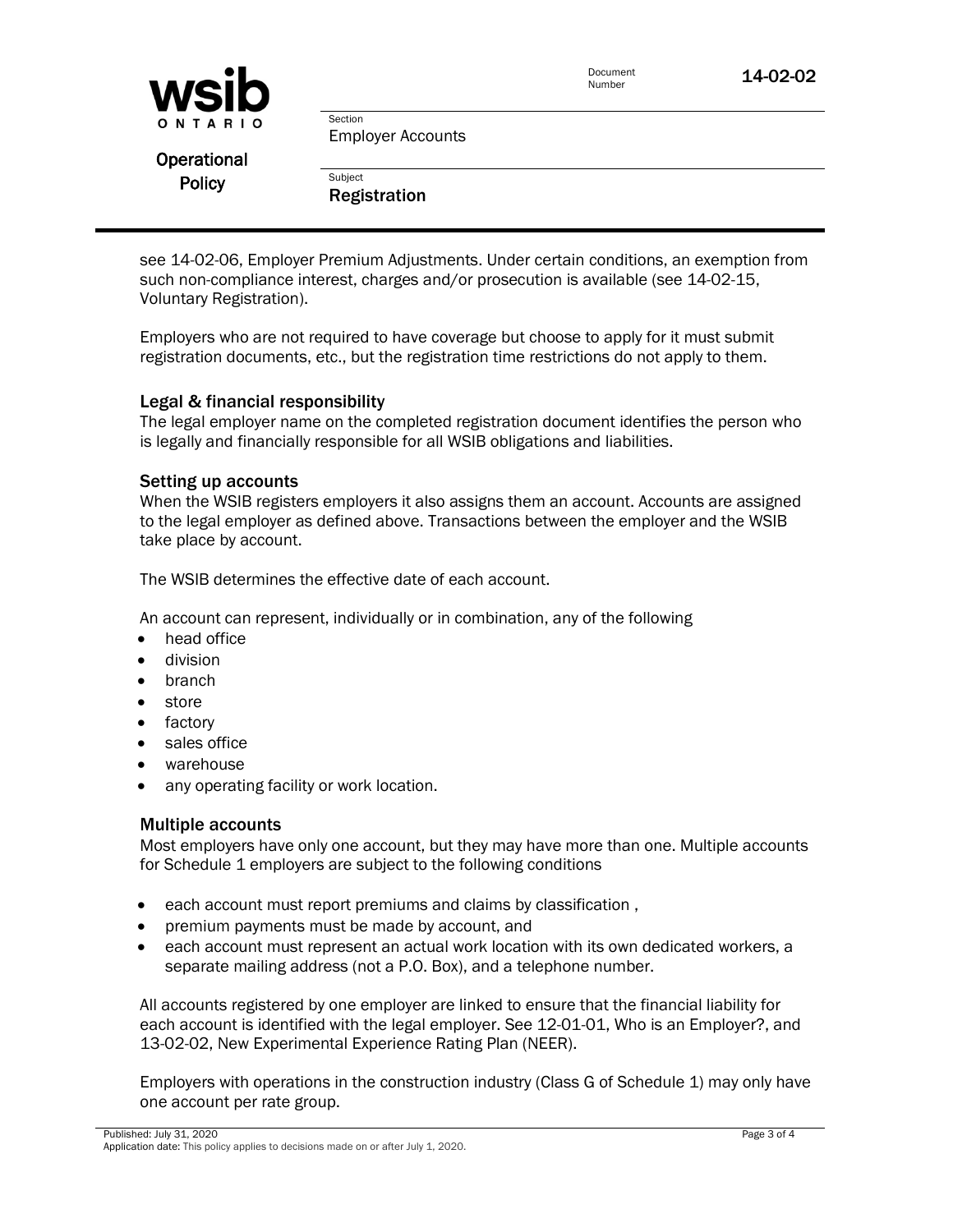| <b>WSID</b>   |                                     | Document<br>Number | 14-02-02 |
|---------------|-------------------------------------|--------------------|----------|
| ONTARIO       | Section<br><b>Employer Accounts</b> |                    |          |
| Operational   |                                     |                    |          |
| <b>Policy</b> | Subject<br><b>Registration</b>      |                    |          |

see 14-02-06, Employer Premium Adjustments. Under certain conditions, an exemption from such non-compliance interest, charges and/or prosecution is available (see 14-02-15, Voluntary Registration).

Employers who are not required to have coverage but choose to apply for it must submit registration documents, etc., but the registration time restrictions do not apply to them.

#### Legal & financial responsibility

The legal employer name on the completed registration document identifies the person who is legally and financially responsible for all WSIB obligations and liabilities.

#### Setting up accounts

When the WSIB registers employers it also assigns them an account. Accounts are assigned to the legal employer as defined above. Transactions between the employer and the WSIB take place by account.

The WSIB determines the effective date of each account.

An account can represent, individually or in combination, any of the following

- head office
- division
- branch
- **store**
- factory
- sales office
- warehouse
- any operating facility or work location.

#### Multiple accounts

Most employers have only one account, but they may have more than one. Multiple accounts for Schedule 1 employers are subject to the following conditions

- each account must report premiums and claims by classification ,
- premium payments must be made by account, and
- each account must represent an actual work location with its own dedicated workers, a separate mailing address (not a P.O. Box), and a telephone number.

All accounts registered by one employer are linked to ensure that the financial liability for each account is identified with the legal employer. See 12-01-01, Who is an Employer?, and 13-02-02, New Experimental Experience Rating Plan (NEER).

Employers with operations in the construction industry (Class G of Schedule 1) may only have one account per rate group.